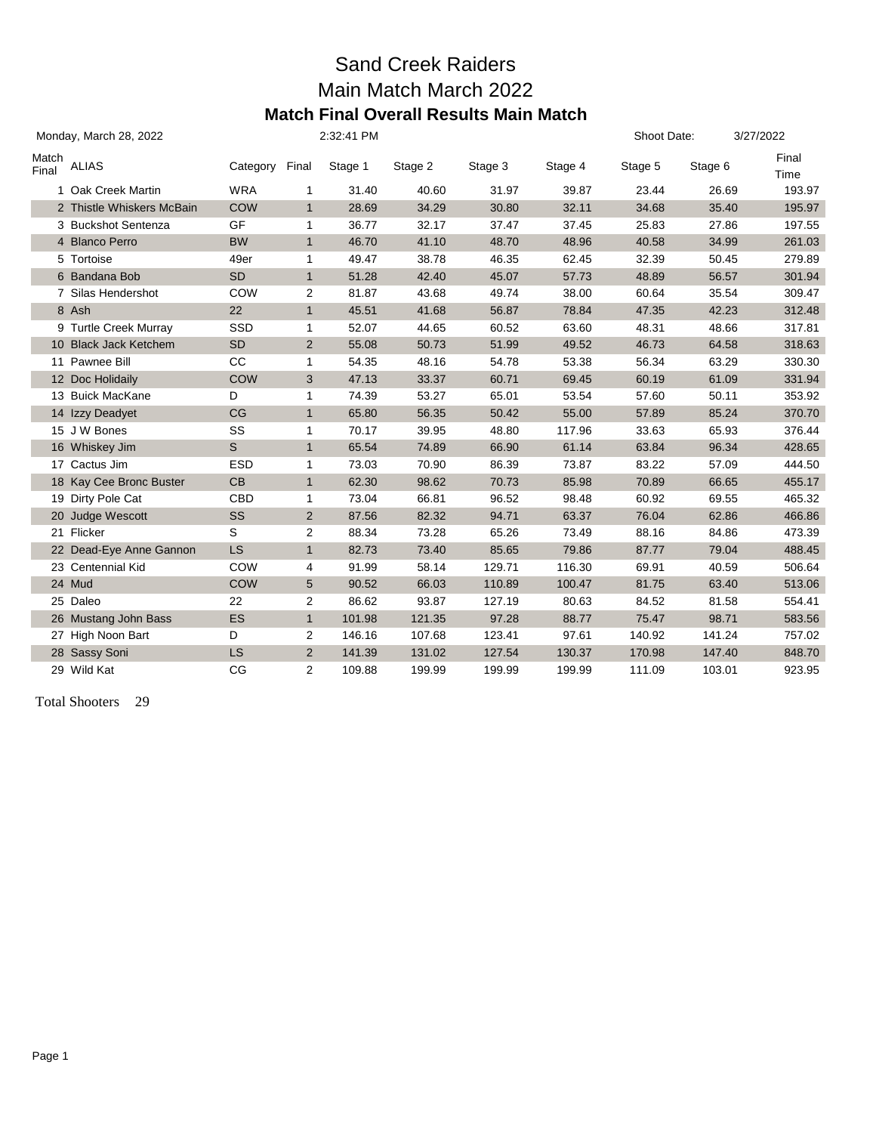### Sand Creek Raiders Main Match March 2022 **Match Final Overall Results Main Match**

|                | Monday, March 28, 2022    |            |                 | 2:32:41 PM |         |         |         | Shoot Date: |         | 3/27/2022     |
|----------------|---------------------------|------------|-----------------|------------|---------|---------|---------|-------------|---------|---------------|
| Match<br>Final | ALIAS                     | Category   | Final           | Stage 1    | Stage 2 | Stage 3 | Stage 4 | Stage 5     | Stage 6 | Final<br>Time |
|                | 1 Oak Creek Martin        | <b>WRA</b> | 1               | 31.40      | 40.60   | 31.97   | 39.87   | 23.44       | 26.69   | 193.97        |
|                | 2 Thistle Whiskers McBain | <b>COW</b> | $\mathbf{1}$    | 28.69      | 34.29   | 30.80   | 32.11   | 34.68       | 35.40   | 195.97        |
|                | 3 Buckshot Sentenza       | GF         | 1               | 36.77      | 32.17   | 37.47   | 37.45   | 25.83       | 27.86   | 197.55        |
|                | 4 Blanco Perro            | <b>BW</b>  | $\mathbf{1}$    | 46.70      | 41.10   | 48.70   | 48.96   | 40.58       | 34.99   | 261.03        |
|                | 5 Tortoise                | 49er       | 1               | 49.47      | 38.78   | 46.35   | 62.45   | 32.39       | 50.45   | 279.89        |
|                | 6 Bandana Bob             | <b>SD</b>  | $\mathbf{1}$    | 51.28      | 42.40   | 45.07   | 57.73   | 48.89       | 56.57   | 301.94        |
|                | 7 Silas Hendershot        | COW        | 2               | 81.87      | 43.68   | 49.74   | 38.00   | 60.64       | 35.54   | 309.47        |
|                | 8 Ash                     | 22         | $\mathbf{1}$    | 45.51      | 41.68   | 56.87   | 78.84   | 47.35       | 42.23   | 312.48        |
|                | 9 Turtle Creek Murray     | SSD        | 1               | 52.07      | 44.65   | 60.52   | 63.60   | 48.31       | 48.66   | 317.81        |
|                | 10 Black Jack Ketchem     | <b>SD</b>  | $\overline{2}$  | 55.08      | 50.73   | 51.99   | 49.52   | 46.73       | 64.58   | 318.63        |
|                | 11 Pawnee Bill            | CC         | 1               | 54.35      | 48.16   | 54.78   | 53.38   | 56.34       | 63.29   | 330.30        |
|                | 12 Doc Holidaily          | <b>COW</b> | 3               | 47.13      | 33.37   | 60.71   | 69.45   | 60.19       | 61.09   | 331.94        |
|                | 13 Buick MacKane          | D          | 1               | 74.39      | 53.27   | 65.01   | 53.54   | 57.60       | 50.11   | 353.92        |
|                | 14 Izzy Deadyet           | CG         | $\mathbf{1}$    | 65.80      | 56.35   | 50.42   | 55.00   | 57.89       | 85.24   | 370.70        |
|                | 15 J W Bones              | SS         | 1               | 70.17      | 39.95   | 48.80   | 117.96  | 33.63       | 65.93   | 376.44        |
|                | 16 Whiskey Jim            | S          | $\mathbf{1}$    | 65.54      | 74.89   | 66.90   | 61.14   | 63.84       | 96.34   | 428.65        |
|                | 17 Cactus Jim             | <b>ESD</b> | 1               | 73.03      | 70.90   | 86.39   | 73.87   | 83.22       | 57.09   | 444.50        |
|                | 18 Kay Cee Bronc Buster   | CB         | $\mathbf{1}$    | 62.30      | 98.62   | 70.73   | 85.98   | 70.89       | 66.65   | 455.17        |
|                | 19 Dirty Pole Cat         | CBD        | 1               | 73.04      | 66.81   | 96.52   | 98.48   | 60.92       | 69.55   | 465.32        |
|                | 20 Judge Wescott          | <b>SS</b>  | 2               | 87.56      | 82.32   | 94.71   | 63.37   | 76.04       | 62.86   | 466.86        |
|                | 21 Flicker                | S          | $\overline{2}$  | 88.34      | 73.28   | 65.26   | 73.49   | 88.16       | 84.86   | 473.39        |
|                | 22 Dead-Eye Anne Gannon   | <b>LS</b>  | $\mathbf{1}$    | 82.73      | 73.40   | 85.65   | 79.86   | 87.77       | 79.04   | 488.45        |
|                | 23 Centennial Kid         | COW        | 4               | 91.99      | 58.14   | 129.71  | 116.30  | 69.91       | 40.59   | 506.64        |
|                | 24 Mud                    | <b>COW</b> | $5\phantom{.0}$ | 90.52      | 66.03   | 110.89  | 100.47  | 81.75       | 63.40   | 513.06        |
|                | 25 Daleo                  | 22         | $\overline{c}$  | 86.62      | 93.87   | 127.19  | 80.63   | 84.52       | 81.58   | 554.41        |
|                | 26 Mustang John Bass      | ES         | $\mathbf{1}$    | 101.98     | 121.35  | 97.28   | 88.77   | 75.47       | 98.71   | 583.56        |
|                | 27 High Noon Bart         | D          | $\overline{2}$  | 146.16     | 107.68  | 123.41  | 97.61   | 140.92      | 141.24  | 757.02        |
|                | 28 Sassy Soni             | <b>LS</b>  | $\overline{2}$  | 141.39     | 131.02  | 127.54  | 130.37  | 170.98      | 147.40  | 848.70        |
|                | 29 Wild Kat               | CG         | 2               | 109.88     | 199.99  | 199.99  | 199.99  | 111.09      | 103.01  | 923.95        |

Total Shooters 29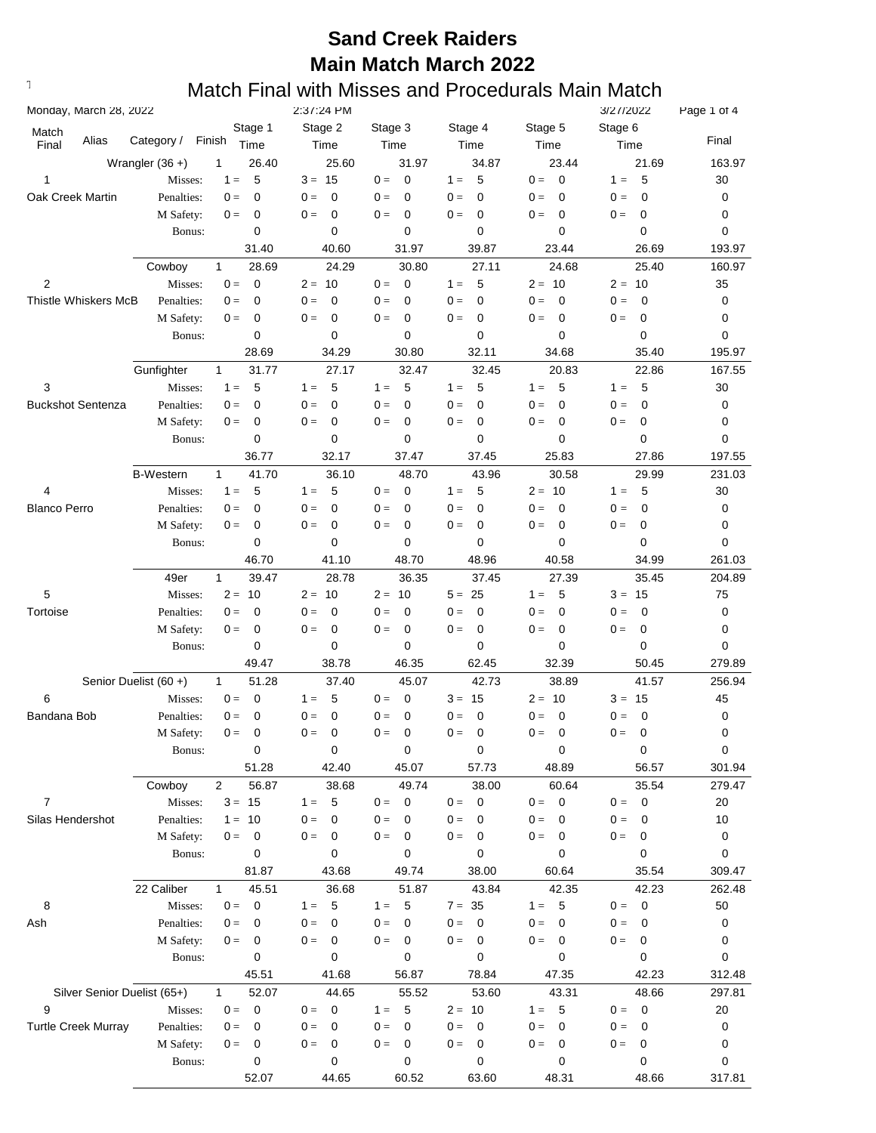| Monday, March 28, 2022      |                       |                |             | 2:37:24 PM                |                          |                          |                                    | 3/27/2022                | Page 1 of 4      |
|-----------------------------|-----------------------|----------------|-------------|---------------------------|--------------------------|--------------------------|------------------------------------|--------------------------|------------------|
| Match                       |                       |                | Stage 1     | Stage 2                   | Stage 3                  | Stage 4                  | Stage 5                            | Stage 6                  |                  |
| Alias<br>Final              | Category /            | Finish         | Time        | Time                      | Time                     | Time                     | Time                               | Time                     | Final            |
|                             | Wrangler $(36 +)$     | 1              | 26.40       | 25.60                     | 31.97                    | 34.87                    | 23.44                              | 21.69                    | 163.97           |
| 1                           | Misses:               | $1 =$          | 5           | $3 = 15$                  | $0 =$<br>0               | 5<br>$1 =$               | $0 =$<br>$\mathbf 0$               | 5<br>$1 =$               | 30               |
| Oak Creek Martin            | Penalties:            | $0 =$          | 0           | $0 =$<br>0                | $0 =$<br>0               | $0 =$<br>0               | $0 =$<br>0                         | 0<br>$0 =$               | 0                |
|                             | M Safety:             | $0 =$          | 0           | 0<br>$0 =$                | $0 =$<br>0               | $0 =$<br>0               | 0<br>$0 =$                         | $0 =$<br>0               | 0                |
|                             | Bonus:                |                | $\mathbf 0$ | 0                         | 0                        | 0                        | 0                                  | 0                        | 0                |
|                             |                       |                | 31.40       | 40.60                     | 31.97                    | 39.87                    | 23.44                              | 26.69                    | 193.97           |
|                             | Cowboy                | $\mathbf{1}$   | 28.69       | 24.29                     | 30.80                    | 27.11                    | 24.68                              | 25.40                    | 160.97           |
| 2                           | Misses:<br>Penalties: | $0 =$          | $\mathbf 0$ | 10<br>$2 =$               | $0 =$<br>$\mathbf 0$     | 5<br>$1 =$               | $2 = 10$                           | $2 =$<br>10              | 35               |
| <b>Thistle Whiskers McB</b> | M Safety:             | $0 =$<br>$0 =$ | 0<br>0      | 0<br>$0 =$<br>0<br>$0 =$  | $0 =$<br>0<br>$0 =$<br>0 | 0<br>$0 =$<br>0<br>$0 =$ | $\mathbf 0$<br>$0 =$<br>0<br>$0 =$ | 0<br>$0 =$<br>0<br>$0 =$ | 0<br>0           |
|                             | Bonus:                |                | 0           | 0                         | 0                        | 0                        | 0                                  | 0                        | 0                |
|                             |                       |                | 28.69       | 34.29                     | 30.80                    | 32.11                    | 34.68                              | 35.40                    | 195.97           |
|                             | Gunfighter            | $\mathbf{1}$   | 31.77       | 27.17                     | 32.47                    | 32.45                    | 20.83                              | 22.86                    | 167.55           |
| 3                           | Misses:               | $1 =$          | 5           | 5<br>$1 =$                | $1 =$<br>5               | 5<br>$1 =$               | 5<br>$1 =$                         | 5<br>$1 =$               | 30               |
| <b>Buckshot Sentenza</b>    | Penalties:            | $0 =$          | 0           | $0 =$<br>0                | $0 =$<br>0               | $0 =$<br>0               | $\mathbf 0$<br>$0 =$               | 0<br>$0 =$               | 0                |
|                             | M Safety:             | $0 =$          | 0           | 0<br>$0 =$                | $0 =$<br>0               | 0<br>$0 =$               | 0<br>$0 =$                         | 0<br>$0 =$               | 0                |
|                             | Bonus:                |                | 0           | 0                         | 0                        | 0                        | 0                                  | 0                        | 0                |
|                             |                       |                | 36.77       | 32.17                     | 37.47                    | 37.45                    | 25.83                              | 27.86                    | 197.55           |
|                             | <b>B-Western</b>      | $\mathbf{1}$   | 41.70       | 36.10                     | 48.70                    | 43.96                    | 30.58                              | 29.99                    | 231.03           |
| 4                           | Misses:               | $1 =$          | 5           | 5<br>$1 =$                | $0 =$<br>0               | 5<br>$1 =$               | $2 = 10$                           | $1 =$<br>5               | 30               |
| <b>Blanco Perro</b>         | Penalties:            | $0 =$          | 0           | 0<br>$0 =$                | $0 =$<br>0               | $0 =$<br>0               | $0 =$<br>0                         | $0 =$<br>0               | 0                |
|                             | M Safety:             | $0 =$          | 0           | $0 =$<br>0                | $0 =$<br>0               | $0 =$<br>0               | $0 =$<br>0                         | $0 =$<br>0               | 0                |
|                             | Bonus:                |                | $\mathbf 0$ | $\mathbf 0$               | 0                        | 0                        | 0                                  | 0                        | 0                |
|                             |                       |                | 46.70       | 41.10                     | 48.70                    | 48.96                    | 40.58                              | 34.99                    | 261.03           |
|                             | 49er                  | $\mathbf{1}$   | 39.47       | 28.78                     | 36.35                    | 37.45                    | 27.39                              | 35.45                    | 204.89           |
| 5                           | Misses:               | $2 =$          | 10          | $2 =$<br>10               | $2 = 10$                 | $5 =$<br>25              | 5<br>$1 =$                         | 15<br>$3 =$              | 75               |
| Tortoise                    | Penalties:            | $0 =$          | 0           | $\mathbf 0$<br>$0 =$      | $0 =$<br>0               | $\mathbf 0$<br>$0 =$     | $\mathbf 0$<br>$0 =$               | $\mathbf 0$<br>$0 =$     | 0                |
|                             | M Safety:             | $0 =$          | 0           | $\mathbf 0$<br>$0 =$      | $\mathbf 0$<br>$0 =$     | $0 =$<br>0               | $\mathbf 0$<br>$0 =$               | $0 =$<br>0               | 0                |
|                             | Bonus:                |                | 0           | 0                         | 0                        | 0                        | 0                                  | $\mathbf 0$              | 0                |
|                             |                       |                | 49.47       | 38.78                     | 46.35                    | 62.45                    | 32.39                              | 50.45                    | 279.89           |
|                             | Senior Duelist (60+)  | $\mathbf{1}$   | 51.28       | 37.40                     | 45.07                    | 42.73                    | 38.89                              | 41.57                    | 256.94           |
| 6                           | Misses:               | $0 =$          | 0           | 5<br>$1 =$                | $0 =$<br>0               | - 15<br>$3 =$            | $2 = 10$                           | $3 =$<br>15              | 45               |
| Bandana Bob                 | Penalties:            | $0 =$          | 0           | 0<br>$0 =$                | 0<br>$0 =$               | 0<br>$0 =$               | 0<br>$0 =$                         | 0<br>$0 =$               | 0                |
|                             | M Safety:             | $0 =$          | 0<br>0      | 0<br>$0 =$<br>$\mathsf 0$ | 0<br>$0 =$               | $0 =$<br>0<br>$\pmb{0}$  | $0 =$<br>0<br>0                    | $0 =$<br>0<br>$\pmb{0}$  | 0<br>$\mathbf 0$ |
|                             | Bonus:                |                | 51.28       | 42.40                     | 0<br>45.07               | 57.73                    | 48.89                              | 56.57                    | 301.94           |
|                             | Cowboy                | $\overline{2}$ | 56.87       | 38.68                     | 49.74                    | 38.00                    | 60.64                              | 35.54                    | 279.47           |
| $\overline{7}$              | Misses:               | $3 = 15$       |             | 5<br>$1 =$                | $0 =$<br>0               | 0<br>$0 =$               | $\overline{\phantom{0}}$<br>$0 =$  | $\mathbf 0$<br>$0 =$     | 20               |
| Silas Hendershot            | Penalties:            | $1 =$          | 10          | $0 =$<br>0                | $0 =$<br>0               | $0 =$<br>0               | $0 =$<br>0                         | $0 =$<br>$\mathbf 0$     | 10               |
|                             | M Safety:             | $0 =$          | 0           | 0<br>$0 =$                | $0 =$<br>0               | $0 =$<br>0               | $\mathbf 0$<br>$0 =$               | $0 =$<br>0               | 0                |
|                             | Bonus:                |                | 0           | 0                         | 0                        | 0                        | 0                                  | 0                        | 0                |
|                             |                       |                | 81.87       | 43.68                     | 49.74                    | 38.00                    | 60.64                              | 35.54                    | 309.47           |
|                             | 22 Caliber            | $\mathbf{1}$   | 45.51       | 36.68                     | 51.87                    | 43.84                    | 42.35                              | 42.23                    | 262.48           |
| 8                           | Misses:               | $0 =$          | $\mathbf 0$ | 5<br>$1 =$                | 5<br>$1 =$               | $7 = 35$                 | 5<br>$1 =$                         | $\mathbf 0$<br>$0 =$     | 50               |
| Ash                         | Penalties:            | $0 =$          | 0           | $\mathbf 0$<br>$0 =$      | $\mathbf 0$<br>$0 =$     | $\mathbf 0$<br>$0 =$     | $\mathbf 0$<br>$0 =$               | $0 =$<br>0               | 0                |
|                             | M Safety:             | $0 =$          | 0           | $\mathbf 0$<br>$0 =$      | 0<br>$0 =$               | $0 =$<br>$\mathbf 0$     | $\mathbf 0$<br>$0 =$               | $0 =$<br>0               | 0                |
|                             | Bonus:                |                | 0           | 0                         | 0                        | 0                        | 0                                  | 0                        | 0                |
|                             |                       |                | 45.51       | 41.68                     | 56.87                    | 78.84                    | 47.35                              | 42.23                    | 312.48           |
| Silver Senior Duelist (65+) |                       | $\mathbf{1}$   | 52.07       | 44.65                     | 55.52                    | 53.60                    | 43.31                              | 48.66                    | 297.81           |
| 9                           | Misses:               | $0 =$          | $\mathbf 0$ | $\overline{0}$<br>$0 =$   | 5<br>$1 =$               | $2 = 10$                 | $-5$<br>$1 =$                      | $\mathbf 0$<br>$0 =$     | 20               |
| <b>Turtle Creek Murray</b>  | Penalties:            | $0 =$          | 0           | $0 =$<br>0                | $0 =$<br>0               | $0 =$<br>$\mathbf 0$     | $0 =$<br>$\mathbf 0$               | $0 =$<br>0               | 0                |
|                             | M Safety:             | $0 =$          | 0           | $\mathbf 0$<br>$0 =$      | 0<br>$0 =$               | $0 =$<br>$\mathbf 0$     | $\mathbf 0$<br>$0 =$               | $0 =$<br>0               | 0                |
|                             | Bonus:                |                | $\pmb{0}$   | 0                         | 0                        | 0                        | 0                                  | 0                        | 0                |
|                             |                       |                | 52.07       | 44.65                     | 60.52                    | 63.60                    | 48.31                              | 48.66                    | 317.81           |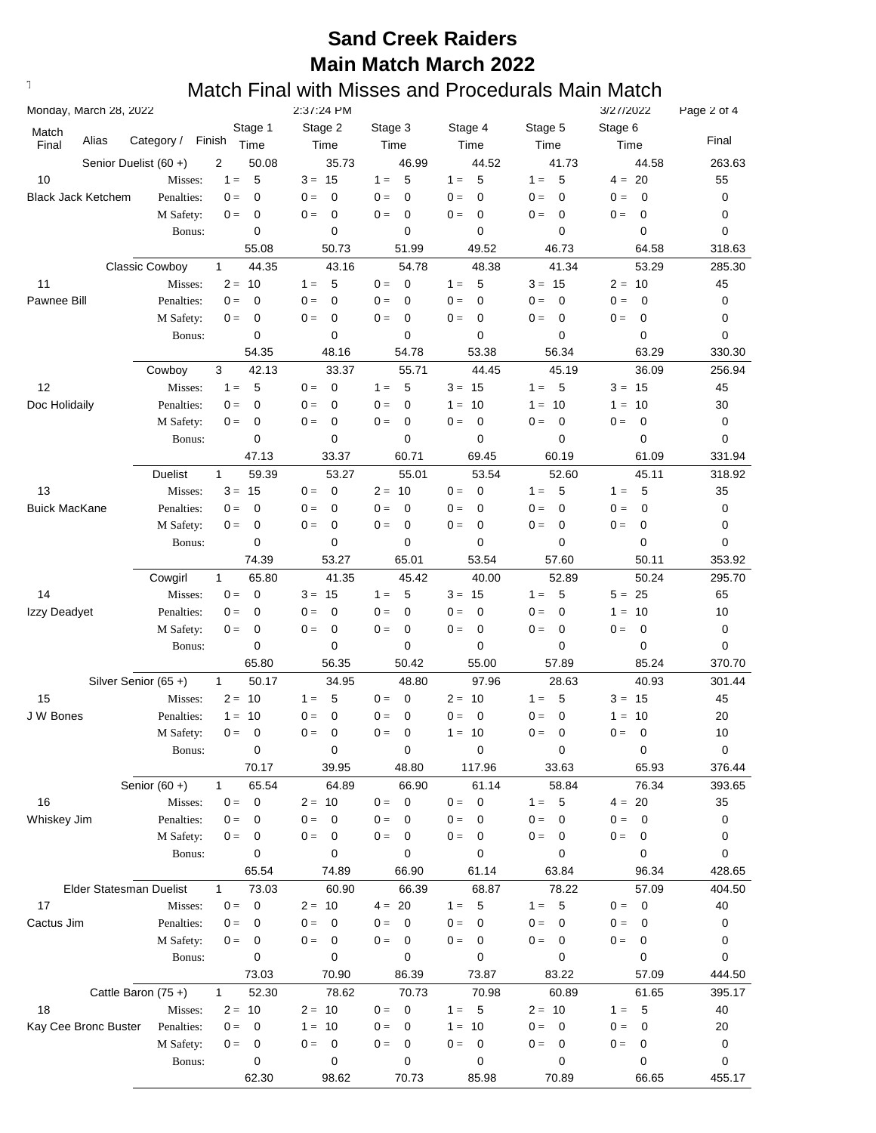| Monday, March 28, 2022    |                       |              |                 | 2:37:24 PM           |                      |                         |                      | 3/27/2022            | Page 2 of 4 |
|---------------------------|-----------------------|--------------|-----------------|----------------------|----------------------|-------------------------|----------------------|----------------------|-------------|
| Match<br>Alias<br>Final   | Category /            | Finish       | Stage 1<br>Time | Stage 2<br>Time      | Stage 3<br>Time      | Stage 4<br>Time         | Stage 5<br>Time      | Stage 6<br>Time      | Final       |
|                           | Senior Duelist (60+)  | 2            | 50.08           | 35.73                | 46.99                | 44.52                   | 41.73                | 44.58                | 263.63      |
| 10                        | Misses:               | $1 =$        | 5               | $3 = 15$             | 5<br>$1 =$           | 5<br>$1 =$              | 5<br>$1 =$           | 20<br>$4 =$          | 55          |
| <b>Black Jack Ketchem</b> | Penalties:            | $0 =$        | 0               | $0 =$<br>$\mathbf 0$ | $0 =$<br>$\mathbf 0$ | $\mathbf 0$<br>$0 =$    | $\mathbf 0$<br>$0 =$ | $\mathbf 0$<br>$0 =$ | 0           |
|                           | M Safety:             | $0 =$        | 0               | 0<br>$0 =$           | $0 =$<br>0           | $0 =$<br>0              | 0<br>$0 =$           | $\mathbf 0$<br>$0 =$ | 0           |
|                           | Bonus:                |              | 0               | $\mathbf 0$          | 0                    | $\mathbf 0$             | 0                    | $\mathbf 0$          | 0           |
|                           |                       |              | 55.08           | 50.73                | 51.99                | 49.52                   | 46.73                | 64.58                | 318.63      |
|                           | <b>Classic Cowboy</b> | $\mathbf{1}$ | 44.35           | 43.16                | 54.78                | 48.38                   | 41.34                | 53.29                | 285.30      |
| 11                        | Misses:               | $2 =$        | 10              | 5<br>$1 =$           | $0 =$<br>0           | 5<br>$1 =$              | $3 = 15$             | $2 =$<br>10          | 45          |
| Pawnee Bill               | Penalties:            | $0 =$        | 0               | 0<br>$0 =$           | $0 =$<br>0           | $0 =$<br>0              | $0 =$<br>0           | $0 =$<br>0           | 0           |
|                           | M Safety:             | $0 =$        | 0               | 0<br>$0 =$           | $0 =$<br>0           | 0<br>$0 =$              | 0<br>$0 =$           | 0<br>$0 =$           | 0           |
|                           | Bonus:                |              | 0               | $\mathbf 0$          | 0                    | 0                       | 0                    | $\mathbf 0$          | 0           |
|                           |                       |              | 54.35           | 48.16                | 54.78                | 53.38                   | 56.34                | 63.29                | 330.30      |
|                           | Cowboy                | 3            | 42.13           | 33.37                | 55.71                | 44.45                   | 45.19                | 36.09                | 256.94      |
| 12                        | Misses:               | $1 =$        | 5               | $0 =$<br>0           | $1 =$<br>5           | $3 = 15$                | $1 =$<br>5           | $3 =$<br>15          | 45          |
| Doc Holidaily             | Penalties:            | $0 =$        | 0               | 0<br>$0 =$           | $0 =$<br>0           | 10<br>$1 =$             | 10<br>$1 =$          | 10<br>$1 =$          | 30          |
|                           | M Safety:             | $0 =$        | 0               | $0 =$<br>0           | $0 =$<br>0           | $0 =$<br>0              | 0<br>$0 =$           | $\mathbf 0$<br>$0 =$ | 0           |
|                           | Bonus:                |              | 0               | $\mathbf 0$          | 0                    | 0                       | 0                    | $\mathbf 0$          | 0           |
|                           |                       |              | 47.13           | 33.37                | 60.71                | 69.45                   | 60.19                | 61.09                | 331.94      |
|                           | Duelist               | $\mathbf{1}$ | 59.39           | 53.27                | 55.01                | 53.54                   | 52.60                | 45.11                | 318.92      |
| 13                        | Misses:               | $3 =$        | 15              | $0 =$<br>0           | $2 = 10$             | $\mathbf 0$<br>$0 =$    | 5<br>$1 =$           | 5<br>$1 =$           | 35          |
| <b>Buick MacKane</b>      | Penalties:            | $0 =$        | 0               | $0 =$<br>0           | $0 =$<br>0           | $0 =$<br>0              | $\mathbf 0$<br>$0 =$ | $\mathbf 0$<br>$0 =$ | 0           |
|                           | M Safety:             | $0 =$        | 0               | 0<br>$0 =$           | $\mathbf 0$<br>$0 =$ | $0 =$<br>0              | $\mathbf 0$<br>$0 =$ | $0 =$<br>0           | 0           |
|                           | Bonus:                |              | 0               | $\mathbf 0$          | 0                    | 0                       | 0                    | $\mathbf 0$          | 0           |
|                           |                       |              | 74.39           | 53.27                | 65.01                | 53.54                   | 57.60                | 50.11                | 353.92      |
|                           | Cowgirl               | $\mathbf{1}$ | 65.80           | 41.35                | 45.42                | 40.00                   | 52.89                | 50.24                | 295.70      |
| 14                        | Misses:               | $0 =$        | 0               | 15<br>$3 =$          | 5<br>$1 =$           | 15<br>$3 =$             | 5<br>$1 =$           | $5 =$<br>25          | 65          |
| Izzy Deadyet              | Penalties:            | $0 =$        | 0               | 0<br>$0 =$           | $0 =$<br>0           | $0 =$<br>0              | $\mathbf 0$<br>$0 =$ | 10<br>$1 =$          | 10          |
|                           | M Safety:             | $0 =$        | 0               | 0<br>$0 =$           | $0 =$<br>0           | $0 =$<br>0              | $0 =$<br>0           | 0<br>$0 =$           | 0           |
|                           | Bonus:                |              | 0               | 0                    | 0                    | 0                       | 0                    | $\mathbf 0$          | 0           |
|                           |                       |              | 65.80           | 56.35                | 50.42                | 55.00                   | 57.89                | 85.24                | 370.70      |
|                           | Silver Senior (65+)   | $\mathbf{1}$ | 50.17           | 34.95                | 48.80                | 97.96                   | 28.63                | 40.93                | 301.44      |
| 15                        | Misses:               | $2 =$        | 10              | 5<br>$1 =$           | $0 =$<br>0           | $2 =$<br>10             | 5<br>$1 =$           | $3 =$<br>15          | 45          |
| J W Bones                 | Penalties:            | $1 =$        | 10              | 0<br>$0 =$           | 0<br>$0 =$           | $0 =$<br>0              | $\mathbf 0$<br>$0 =$ | 10<br>$1 =$          | 20          |
|                           | M Safety:             | $0 =$        | 0               | 0<br>$0 =$           | $\mathbf 0$<br>$0 =$ | $1 = 10$                | $\mathbf 0$<br>$0 =$ | $0 =$<br>0           | 10          |
|                           | Bonus:                |              | 0               | $\mathbf 0$          | 0                    | 0                       | 0                    | $\mathbf 0$          | $\pmb{0}$   |
|                           |                       |              | 70.17           | 39.95                | 48.80                | 117.96                  | 33.63                | 65.93                | 376.44      |
|                           | Senior $(60 +)$       | $\mathbf{1}$ | 65.54           | 64.89                | 66.90                | 61.14                   | 58.84                | 76.34                | 393.65      |
| 16                        | Misses:               | $0 =$        | $\mathbf 0$     | $2 = 10$             | $\mathbf 0$<br>$0 =$ | $\overline{0}$<br>$0 =$ | $-5$<br>$1 =$        | $4 = 20$             | 35          |
| Whiskey Jim               | Penalties:            | $0 =$        | 0               | $0 =$<br>0           | $0 =$<br>0           | $0 =$<br>0              | $\mathbf 0$<br>$0 =$ | $0 =$<br>$\mathbf 0$ | 0           |
|                           | M Safety:             | $0 =$        | 0               | $0 =$<br>0           | $0 =$<br>0           | $0 =$<br>$\mathbf 0$    | $\mathbf 0$<br>$0 =$ | $0 =$<br>0           | 0           |
|                           | Bonus:                |              | 0               | 0                    | 0                    | 0                       | 0                    | 0                    | 0           |
|                           |                       |              | 65.54           | 74.89                | 66.90                | 61.14                   | 63.84                | 96.34                | 428.65      |
| Elder Statesman Duelist   |                       | $\mathbf{1}$ | 73.03           | 60.90                | 66.39                | 68.87                   | 78.22                | 57.09                | 404.50      |
| 17                        | Misses:               | $0 =$        | $\mathbf 0$     | $2 = 10$             | $4 = 20$             | 5<br>$1 =$              | 5<br>$1 =$           | $0 =$<br>$\mathbf 0$ | 40          |
| Cactus Jim                | Penalties:            | $0 =$        | 0               | $0 =$<br>0           | $0 =$<br>$\mathbf 0$ | $0 =$<br>$\mathbf 0$    | $\mathbf 0$<br>$0 =$ | $0 =$<br>0           | 0           |
|                           | M Safety:             | $0 =$        | 0               | $0 =$<br>$\mathbf 0$ | 0<br>$0 =$           | $0 =$<br>$\mathbf 0$    | $\mathbf 0$<br>$0 =$ | $0 =$<br>0           | 0           |
|                           | Bonus:                |              | 0               | 0                    | 0                    | 0                       | 0                    | 0                    | 0           |
|                           |                       |              | 73.03           | 70.90                | 86.39                | 73.87                   | 83.22                | 57.09                | 444.50      |
|                           | Cattle Baron $(75 +)$ | $\mathbf{1}$ | 52.30           | 78.62                | 70.73                | 70.98                   | 60.89                | 61.65                | 395.17      |
| 18                        | Misses:               | $2 =$        | 10              | $2 = 10$             | $\mathbf 0$<br>$0 =$ | 5<br>$1 =$              | $2 = 10$             | $1 =$<br>5           | 40          |
| Kay Cee Bronc Buster      | Penalties:            | $0 =$        | 0               | $1 =$<br>10          | $0 =$<br>0           | - 10<br>$1 =$           | $0 =$<br>$\mathbf 0$ | $0 =$<br>0           | 20          |
|                           | M Safety:             | $0 =$        | 0               | $0 =$<br>$\mathbf 0$ | $0 =$<br>0           | $0 =$<br>$\mathbf 0$    | $\mathbf 0$<br>$0 =$ | $0 =$<br>0           | 0           |
|                           | Bonus:                |              | 0               | 0                    | 0                    | 0                       | 0                    | 0                    | 0           |
|                           |                       |              | 62.30           | 98.62                | 70.73                | 85.98                   | 70.89                | 66.65                | 455.17      |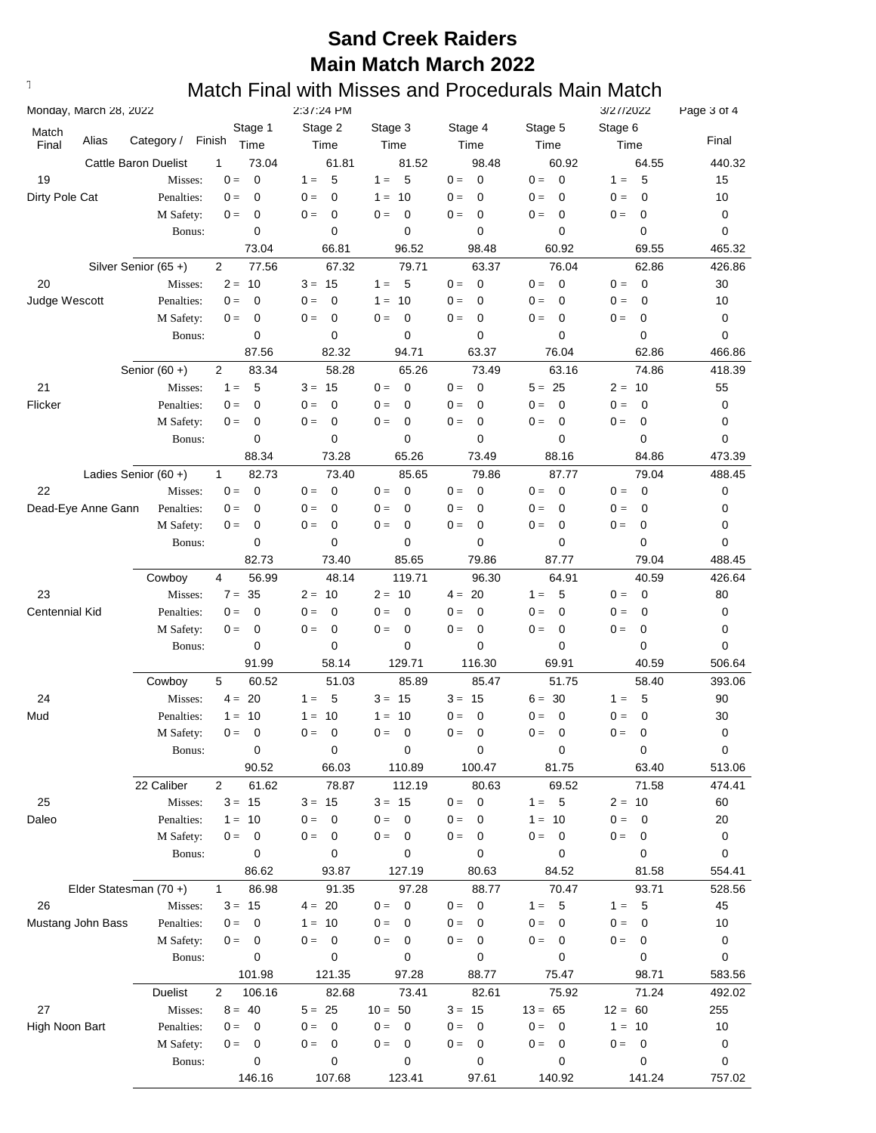| Monday, March 28, 2022  |                             |                           | 2:37:24 PM           |                 |                      |                         | 3/27/2022            | Page 3 of 4 |
|-------------------------|-----------------------------|---------------------------|----------------------|-----------------|----------------------|-------------------------|----------------------|-------------|
| Match<br>Alias<br>Final | Category /                  | Stage 1<br>Finish<br>Time | Stage 2<br>Time      | Stage 3<br>Time | Stage 4<br>Time      | Stage 5<br>Time         | Stage 6<br>Time      | Final       |
|                         | <b>Cattle Baron Duelist</b> | 73.04<br>1                | 61.81                | 81.52           | 98.48                | 60.92                   | 64.55                | 440.32      |
| 19                      | Misses:                     | $\mathbf 0$<br>$0 =$      | 5<br>$1 =$           | 5<br>$1 =$      | $\mathbf 0$<br>$0 =$ | $\overline{0}$<br>$0 =$ | 5<br>$1 =$           | 15          |
| Dirty Pole Cat          | Penalties:                  | 0<br>$0 =$                | $0 =$<br>0           | $1 =$<br>10     | $0 =$<br>$\mathbf 0$ | $0 =$<br>0              | $0 =$<br>0           | 10          |
|                         | M Safety:                   | 0<br>$0 =$                | 0<br>$0 =$           | $0 =$<br>0      | $0 =$<br>$\mathbf 0$ | $\mathbf 0$<br>$0 =$    | 0<br>$0 =$           | 0           |
|                         | Bonus:                      | 0                         | 0                    | 0               | 0                    | $\mathbf 0$             | 0                    | 0           |
|                         |                             | 73.04                     | 66.81                | 96.52           | 98.48                | 60.92                   | 69.55                | 465.32      |
|                         | Silver Senior (65+)         | 77.56<br>2                | 67.32                | 79.71           | 63.37                | 76.04                   | 62.86                | 426.86      |
| 20                      | Misses:                     | $2 = 10$                  | $3 = 15$             | $1 = 5$         | $0 =$<br>$\mathbf 0$ | $0 =$<br>0              | $\mathbf 0$<br>$0 =$ | 30          |
| Judge Wescott           | Penalties:                  | 0<br>$0 =$                | 0<br>$0 =$           | $1 =$<br>10     | 0<br>$0 =$           | $0 =$<br>$\mathbf 0$    | 0<br>$0 =$           | 10          |
|                         | M Safety:                   | 0<br>$0 =$                | 0<br>$0 =$           | 0<br>$0 =$      | 0<br>$0 =$           | $0 =$<br>$\mathbf 0$    | 0<br>$0 =$           | 0           |
|                         | Bonus:                      | 0                         | 0                    | 0               | 0                    | 0                       | 0                    | 0           |
|                         |                             | 87.56                     | 82.32                | 94.71           | 63.37                | 76.04                   | 62.86                | 466.86      |
|                         | Senior $(60 +)$             | 2<br>83.34                | 58.28                | 65.26           | 73.49                | 63.16                   | 74.86                | 418.39      |
| 21                      | Misses:                     | $1 =$<br>5                | $3 = 15$             | $0 =$<br>0      | $0 =$<br>$\mathbf 0$ | $5 = 25$                | 10<br>$2 =$          | 55          |
| Flicker                 | Penalties:                  | 0<br>$0 =$                | 0<br>$0 =$           | $0 =$<br>0      | 0<br>$0 =$           | $\mathbf 0$<br>$0 =$    | $\mathbf 0$<br>$0 =$ | 0           |
|                         | M Safety:                   | 0<br>$0 =$                | 0<br>$0 =$           | $0 =$<br>0      | 0<br>$0 =$           | $\mathbf 0$<br>$0 =$    | 0<br>$0 =$           | 0           |
|                         | Bonus:                      | 0                         | 0                    | 0               | 0                    | 0                       | 0                    | 0           |
|                         |                             | 88.34                     | 73.28                | 65.26           | 73.49                | 88.16                   | 84.86                | 473.39      |
|                         | Ladies Senior $(60 +)$      | 82.73<br>$\mathbf{1}$     | 73.40                | 85.65           | 79.86                | 87.77                   | 79.04                | 488.45      |
| 22                      | Misses:                     | $\mathbf 0$<br>$0 =$      | $0 =$<br>0           | $0 =$<br>0      | $0 =$<br>$\mathbf 0$ | $0 =$<br>$\mathbf 0$    | $\mathbf 0$<br>$0 =$ | 0           |
| Dead-Eye Anne Gann      | Penalties:                  | 0<br>$0 =$                | $0 =$<br>0           | $0 =$<br>0      | $0 =$<br>0           | $0 =$<br>0              | $0 =$<br>0           | 0           |
|                         | M Safety:                   | 0<br>$0 =$                | 0<br>$0 =$           | $0 =$<br>0      | $\mathbf 0$<br>$0 =$ | $\mathbf 0$<br>$0 =$    | 0<br>$0 =$           | 0           |
|                         | Bonus:                      | 0                         | 0                    | 0               | 0                    | $\mathbf 0$             | 0                    | 0           |
|                         |                             | 82.73                     | 73.40                | 85.65           | 79.86                | 87.77                   | 79.04                | 488.45      |
|                         | Cowboy                      | 4<br>56.99                | 48.14                | 119.71          | 96.30                | 64.91                   | 40.59                | 426.64      |
| 23                      | Misses:                     | 35<br>$7 =$               | $2 = 10$             | $2 = 10$        | $4 = 20$             | 5<br>$1 =$              | $0 =$<br>$\mathbf 0$ | 80          |
| Centennial Kid          | Penalties:                  | 0<br>$0 =$                | 0<br>$0 =$           | $0 =$<br>0      | 0<br>$0 =$           | $0 =$<br>$\mathbf 0$    | 0<br>$0 =$           | 0           |
|                         | M Safety:                   | 0<br>$0 =$                | 0<br>$0 =$           | 0<br>$0 =$      | 0<br>$0 =$           | $\mathbf 0$<br>$0 =$    | 0<br>$0 =$           | 0           |
|                         | Bonus:                      | 0                         | 0                    | 0               | 0                    | 0                       | 0                    | 0           |
|                         |                             | 91.99                     | 58.14                | 129.71          | 116.30               | 69.91                   | 40.59                | 506.64      |
|                         | Cowboy                      | 5<br>60.52                | 51.03                | 85.89           | 85.47                | 51.75                   | 58.40                | 393.06      |
| 24                      | Misses:                     | 20<br>$4 =$               | 5<br>$1 =$           | $3 = 15$        | $3 = 15$             | $6 = 30$                | 5<br>$1 =$           | 90          |
| Mud                     | Penalties:                  | 10<br>$1 =$               | 10<br>$1 =$          | 10<br>$1 =$     | 0<br>$0 =$           | $\mathbf 0$<br>$0 =$    | $\mathbf 0$<br>$0 =$ | 30          |
|                         | M Safety:                   | 0<br>$0 =$                | 0<br>$0 =$           | 0<br>$0 =$      | 0<br>$0 =$           | $\mathbf 0$<br>$0 =$    | $0 =$<br>0           | 0           |
|                         | Bonus:                      | 0                         | 0                    | 0               | 0                    | 0                       | 0                    | 0           |
|                         |                             | 90.52                     | 66.03                | 110.89          | 100.47               | 81.75                   | 63.40                | 513.06      |
|                         | 22 Caliber                  | $\overline{2}$<br>61.62   | 78.87                | 112.19          | 80.63                | 69.52                   | 71.58                | 474.41      |
| 25                      | Misses:                     | $3 = 15$                  | $3 = 15$             | $3 = 15$        | 0<br>$0 =$           | 5<br>$1 =$              | $2 = 10$             | 60          |
| Daleo                   | Penalties:                  | $1 =$<br>10               | $0 =$<br>0           | $0 =$<br>0      | $0 =$<br>0           | $1 = 10$                | $0 =$<br>$\mathbf 0$ | 20          |
|                         | M Safety:                   | $0 =$<br>0                | $0 =$<br>0           | $0 =$<br>0      | $0 =$<br>0           | $0 =$<br>0              | $0 =$<br>0           | 0           |
|                         | Bonus:                      | 0                         | 0                    | 0               | 0                    | 0                       | 0                    | 0           |
|                         |                             | 86.62                     | 93.87                | 127.19          | 80.63                | 84.52                   | 81.58                | 554.41      |
|                         | Elder Statesman (70+)       | 86.98<br>$\mathbf{1}$     | 91.35                | 97.28           | 88.77                | 70.47                   | 93.71                | 528.56      |
| 26                      | Misses:                     | $3 = 15$                  | $4 = 20$             | $0 =$<br>0      | $0 =$<br>$\mathbf 0$ | 5<br>$1 =$              | 5<br>$1 =$           | 45          |
| Mustang John Bass       | Penalties:                  | $0 =$<br>0                | $1 = 10$             | $0 =$<br>0      | $0 =$<br>0           | $0 =$<br>0              | $0 =$<br>$\mathbf 0$ | 10          |
|                         | M Safety:                   | $0 =$<br>0                | 0<br>$0 =$           | $0 =$<br>0      | $0 =$<br>0           | $\mathbf{0} =$<br>0     | $0 =$<br>0           | 0           |
|                         | Bonus:                      | 0                         | 0                    | 0               | 0                    | 0                       | 0                    | 0           |
|                         |                             | 101.98                    | 121.35               | 97.28           | 88.77                | 75.47                   | 98.71                | 583.56      |
|                         | Duelist                     | $\overline{2}$<br>106.16  | 82.68                | 73.41           | 82.61                | 75.92                   | 71.24                | 492.02      |
| 27                      | Misses:                     | $8 = 40$                  | $5 = 25$             | $10 = 50$       | $3 = 15$             | $13 = 65$               | $12 = 60$            | 255         |
| High Noon Bart          | Penalties:                  | $0 =$<br>$\mathbf 0$      | $0 =$<br>$\mathbf 0$ | $0 =$<br>0      | $0 =$<br>$\mathbf 0$ | $0 =$<br>0              | $1 = 10$             | 10          |
|                         | M Safety:                   | $0 =$<br>0                | $\mathbf 0$<br>$0 =$ | $0 =$<br>0      | $0 =$<br>0           | $0 =$<br>0              | $0 =$<br>0           | 0           |
|                         | Bonus:                      | 0                         | 0                    | 0               | 0                    | 0                       | 0                    | 0           |
|                         |                             | 146.16                    | 107.68               | 123.41          | 97.61                | 140.92                  | 141.24               | 757.02      |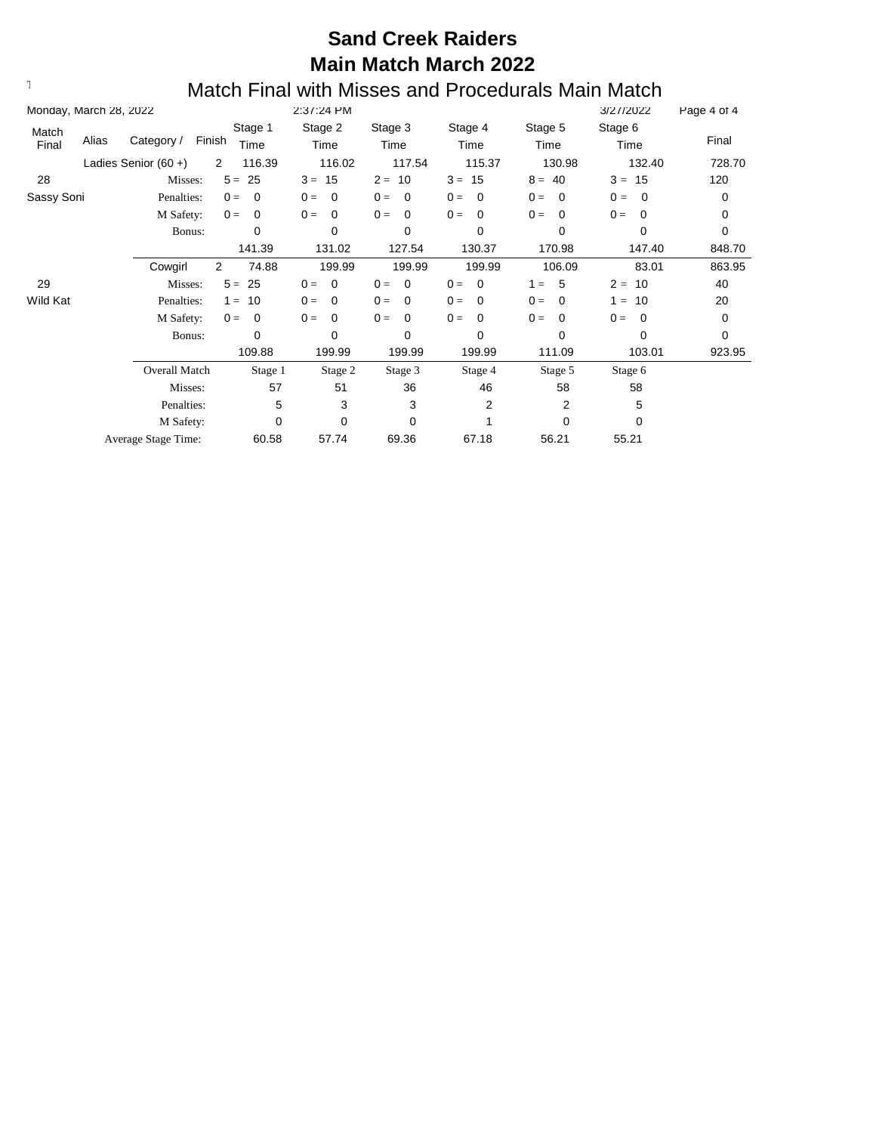|                | Monday, March 28, 2022 |                        |        |                 | 2:37:24 PM              |                      |                      |                         | 3/27/2022         | Page 4 of 4 |
|----------------|------------------------|------------------------|--------|-----------------|-------------------------|----------------------|----------------------|-------------------------|-------------------|-------------|
| Match<br>Final | Alias                  | Category /             | Finish | Stage 1<br>Time | Stage 2<br>Time         | Stage 3<br>Time      | Stage 4<br>Time      | Stage 5<br>Time         | Stage 6<br>Time   | Final       |
|                |                        | Ladies Senior $(60 +)$ | 2      | 116.39          | 116.02                  | 117.54               | 115.37               | 130.98                  | 132.40            | 728.70      |
| 28             |                        | Misses:                | $5 =$  | 25              | 15<br>$3 =$             | $2 = 10$             | $3 = 15$             | 40<br>$8 =$             | $3 =$<br>15       | 120         |
| Sassy Soni     |                        | Penalties:             | $0 =$  | 0               | $\mathbf 0$<br>$0 =$    | $0 =$<br>0           | $0 =$<br>0           | $0 =$<br>0              | $0 =$<br>0        | 0           |
|                |                        | M Safety:              | $0 =$  | $\mathbf 0$     | $0 =$<br>$\mathbf 0$    | $0 =$<br>0           | $0 =$<br>$\mathbf 0$ | $0 =$<br>0              | $0 =$<br>0        | 0           |
|                |                        | Bonus:                 |        | $\Omega$        | 0                       | 0                    | $\Omega$             | 0                       | 0                 | 0           |
|                |                        |                        |        | 141.39          | 131.02                  | 127.54               | 130.37               | 170.98                  | 147.40            | 848.70      |
|                |                        | Cowgirl                | 2      | 74.88           | 199.99                  | 199.99               | 199.99               | 106.09                  | 83.01             | 863.95      |
| 29             |                        | Misses:                | $5 =$  | 25              | $0 =$<br>$\overline{0}$ | $0 =$<br>$\mathbf 0$ | $0 =$<br>- 0         | $-5$<br>$1 =$           | $2 =$<br>10       | 40          |
| Wild Kat       |                        | Penalties:             | $1 =$  | 10              | $0 =$<br>$\mathbf 0$    | $0 =$<br>$\mathbf 0$ | $0 =$<br>0           | $0 =$<br>$\overline{0}$ | 10<br>$\equiv$    | 20          |
|                |                        | M Safety:              | $0 =$  | $\mathbf 0$     | $0 =$<br>$\Omega$       | $0 =$<br>$\Omega$    | $0 =$<br>$\Omega$    | $\Omega$<br>$0 =$       | $0 =$<br>$\Omega$ | 0           |
|                |                        | Bonus:                 |        | 0               | $\Omega$                | $\mathbf 0$          | $\Omega$             | $\Omega$                | 0                 | 0           |
|                |                        |                        |        | 109.88          | 199.99                  | 199.99               | 199.99               | 111.09                  | 103.01            | 923.95      |
|                |                        | Overall Match          |        | Stage 1         | Stage 2                 | Stage 3              | Stage 4              | Stage 5                 | Stage 6           |             |
|                |                        | Misses:                |        | 57              | 51                      | 36                   | 46                   | 58                      | 58                |             |
|                |                        | Penalties:             |        | 5               | 3                       | 3                    | 2                    | 2                       | 5                 |             |
|                |                        | M Safety:              |        | 0               | $\mathbf 0$             | 0                    |                      | 0                       | 0                 |             |
|                |                        | Average Stage Time:    |        | 60.58           | 57.74                   | 69.36                | 67.18                | 56.21                   | 55.21             |             |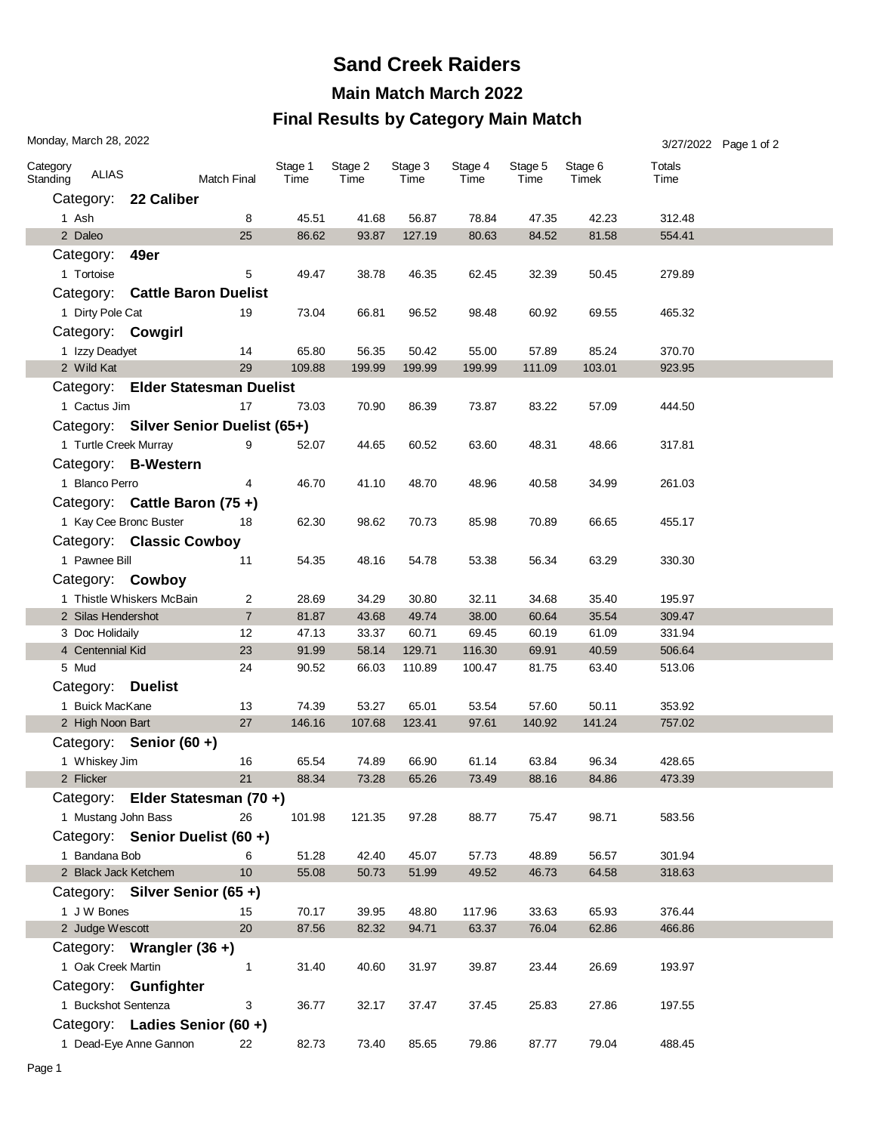#### **Final Results by Category Main Match**

|                      | Monday, March 28, 2022              |                                       |                    |                 |                 |                 |                 |                 |                  |                  | 3/27/2022 Page 1 of 2 |
|----------------------|-------------------------------------|---------------------------------------|--------------------|-----------------|-----------------|-----------------|-----------------|-----------------|------------------|------------------|-----------------------|
| Category<br>Standing | <b>ALIAS</b>                        |                                       | <b>Match Final</b> | Stage 1<br>Time | Stage 2<br>Time | Stage 3<br>Time | Stage 4<br>Time | Stage 5<br>Time | Stage 6<br>Timek | Totals<br>Time   |                       |
|                      |                                     | Category: 22 Caliber                  |                    |                 |                 |                 |                 |                 |                  |                  |                       |
|                      | 1 Ash                               |                                       | 8                  | 45.51           | 41.68           | 56.87           | 78.84           | 47.35           | 42.23            | 312.48           |                       |
|                      | 2 Daleo                             |                                       | 25                 | 86.62           | 93.87           | 127.19          | 80.63           | 84.52           | 81.58            | 554.41           |                       |
|                      | Category:                           | 49er                                  |                    |                 |                 |                 |                 |                 |                  |                  |                       |
|                      | 1 Tortoise                          |                                       | 5                  | 49.47           | 38.78           | 46.35           | 62.45           | 32.39           | 50.45            | 279.89           |                       |
|                      |                                     | Category: Cattle Baron Duelist        |                    |                 |                 |                 |                 |                 |                  |                  |                       |
|                      | 1 Dirty Pole Cat                    |                                       | 19                 | 73.04           | 66.81           | 96.52           | 98.48           | 60.92           | 69.55            | 465.32           |                       |
|                      | Category: Cowgirl                   |                                       |                    |                 |                 |                 |                 |                 |                  |                  |                       |
|                      | 1 Izzy Deadyet                      |                                       | 14                 | 65.80           | 56.35           | 50.42           | 55.00           | 57.89           | 85.24            | 370.70           |                       |
|                      | 2 Wild Kat                          |                                       | 29                 | 109.88          | 199.99          | 199.99          | 199.99          | 111.09          | 103.01           | 923.95           |                       |
|                      |                                     | Category: Elder Statesman Duelist     |                    |                 |                 |                 |                 |                 |                  |                  |                       |
|                      | 1 Cactus Jim                        |                                       | 17                 | 73.03           | 70.90           | 86.39           | 73.87           | 83.22           | 57.09            | 444.50           |                       |
|                      |                                     | Category: Silver Senior Duelist (65+) |                    |                 |                 |                 |                 |                 |                  |                  |                       |
|                      | 1 Turtle Creek Murray               |                                       | 9                  | 52.07           | 44.65           | 60.52           | 63.60           | 48.31           | 48.66            | 317.81           |                       |
|                      |                                     | Category: B-Western                   |                    |                 |                 |                 |                 |                 |                  |                  |                       |
|                      | 1 Blanco Perro                      |                                       | 4                  | 46.70           | 41.10           | 48.70           | 48.96           | 40.58           | 34.99            | 261.03           |                       |
|                      |                                     | Category: Cattle Baron (75+)          |                    |                 |                 |                 |                 |                 |                  |                  |                       |
|                      |                                     |                                       | 18                 |                 |                 |                 |                 |                 |                  |                  |                       |
|                      | 1 Kay Cee Bronc Buster              |                                       |                    | 62.30           | 98.62           | 70.73           | 85.98           | 70.89           | 66.65            | 455.17           |                       |
|                      |                                     | Category: Classic Cowboy              |                    |                 |                 |                 |                 |                 |                  |                  |                       |
|                      | 1 Pawnee Bill                       |                                       | 11                 | 54.35           | 48.16           | 54.78           | 53.38           | 56.34           | 63.29            | 330.30           |                       |
|                      | Category: Cowboy                    |                                       |                    |                 |                 |                 |                 |                 |                  |                  |                       |
|                      |                                     | 1 Thistle Whiskers McBain             | 2                  | 28.69           | 34.29           | 30.80           | 32.11           | 34.68           | 35.40            | 195.97           |                       |
|                      | 2 Silas Hendershot                  |                                       | $\overline{7}$     | 81.87           | 43.68           | 49.74           | 38.00           | 60.64           | 35.54            | 309.47           |                       |
|                      | 3 Doc Holidaily<br>4 Centennial Kid |                                       | 12<br>23           | 47.13<br>91.99  | 33.37<br>58.14  | 60.71<br>129.71 | 69.45<br>116.30 | 60.19<br>69.91  | 61.09<br>40.59   | 331.94<br>506.64 |                       |
|                      | 5 Mud                               |                                       | 24                 | 90.52           | 66.03           | 110.89          | 100.47          | 81.75           | 63.40            | 513.06           |                       |
|                      | Category: Duelist                   |                                       |                    |                 |                 |                 |                 |                 |                  |                  |                       |
|                      | 1 Buick MacKane                     |                                       | 13                 | 74.39           | 53.27           | 65.01           | 53.54           | 57.60           | 50.11            | 353.92           |                       |
|                      | 2 High Noon Bart                    |                                       | 27                 | 146.16          | 107.68          | 123.41          | 97.61           | 140.92          | 141.24           | 757.02           |                       |
|                      |                                     | Category: Senior (60 +)               |                    |                 |                 |                 |                 |                 |                  |                  |                       |
|                      | 1 Whiskey Jim                       |                                       | 16                 | 65.54           | 74.89           | 66.90           | 61.14           | 63.84           | 96.34            | 428.65           |                       |
|                      | 2 Flicker                           |                                       | 21                 | 88.34           | 73.28           | 65.26           | 73.49           | 88.16           | 84.86            | 473.39           |                       |
|                      |                                     | Category: Elder Statesman (70+)       |                    |                 |                 |                 |                 |                 |                  |                  |                       |
|                      | 1 Mustang John Bass                 |                                       | 26                 | 101.98          | 121.35          | 97.28           | 88.77           | 75.47           | 98.71            | 583.56           |                       |
|                      |                                     | Category: Senior Duelist (60 +)       |                    |                 |                 |                 |                 |                 |                  |                  |                       |
|                      | 1 Bandana Bob                       |                                       | 6                  | 51.28           | 42.40           | 45.07           | 57.73           | 48.89           | 56.57            | 301.94           |                       |
|                      | 2 Black Jack Ketchem                |                                       | 10 <sup>1</sup>    | 55.08           | 50.73           | 51.99           | 49.52           | 46.73           | 64.58            | 318.63           |                       |
|                      |                                     | Category: Silver Senior (65+)         |                    |                 |                 |                 |                 |                 |                  |                  |                       |
|                      | 1 J W Bones                         |                                       | 15                 | 70.17           | 39.95           | 48.80           | 117.96          | 33.63           | 65.93            | 376.44           |                       |
|                      | 2 Judge Wescott                     |                                       | 20                 | 87.56           | 82.32           | 94.71           | 63.37           | 76.04           | 62.86            | 466.86           |                       |
|                      |                                     | Category: Wrangler (36+)              |                    |                 |                 |                 |                 |                 |                  |                  |                       |
|                      | 1 Oak Creek Martin                  |                                       | $\mathbf{1}$       | 31.40           | 40.60           | 31.97           | 39.87           | 23.44           | 26.69            | 193.97           |                       |
|                      |                                     |                                       |                    |                 |                 |                 |                 |                 |                  |                  |                       |
|                      |                                     | Category: Gunfighter                  |                    |                 |                 |                 |                 |                 |                  |                  |                       |
|                      | 1 Buckshot Sentenza                 |                                       | 3                  | 36.77           | 32.17           | 37.47           | 37.45           | 25.83           | 27.86            | 197.55           |                       |
|                      |                                     | Category: Ladies Senior (60 +)        |                    |                 |                 |                 |                 |                 |                  |                  |                       |
|                      |                                     | 1 Dead-Eye Anne Gannon                | 22                 | 82.73           | 73.40           | 85.65           | 79.86           | 87.77           | 79.04            | 488.45           |                       |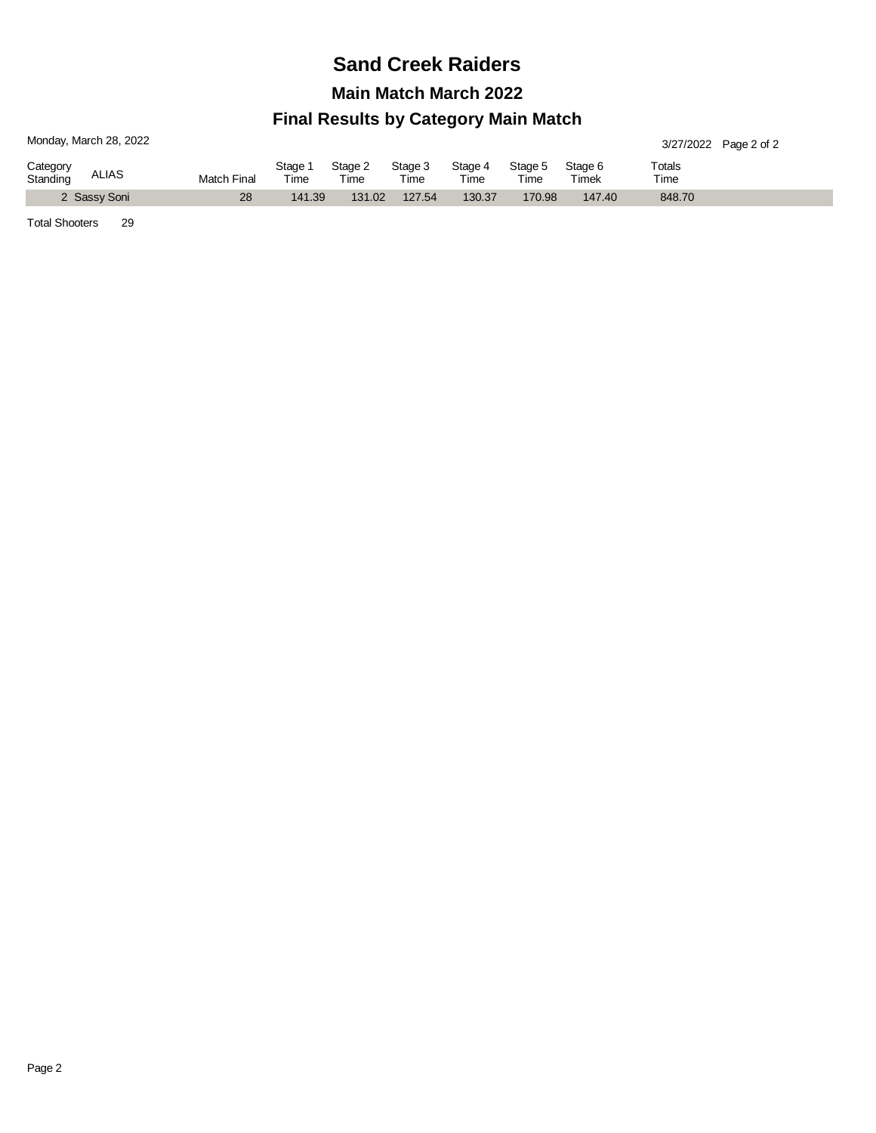## **Sand Creek Raiders**

**Main Match March 2022**

#### **Final Results by Category Main Match**

| Monday, March 28, 2022               |             |               |                 |                 |                 |                    |                  | 3/27/2022 Page 2 of 2 |  |
|--------------------------------------|-------------|---------------|-----------------|-----------------|-----------------|--------------------|------------------|-----------------------|--|
| Category<br><b>ALIAS</b><br>Standing | Match Final | Stage<br>Time | Stage 2<br>Time | Stage 3<br>Time | Stage 4<br>Time | Stage 5<br>$T$ ime | Stage 6<br>Timek | Totals<br>Time        |  |
| 2 Sassy Soni                         | 28          | 141.39        | 131.02          | 127.54          | 130.37          | 170.98             | 147.40           | 848.70                |  |

Total Shooters 29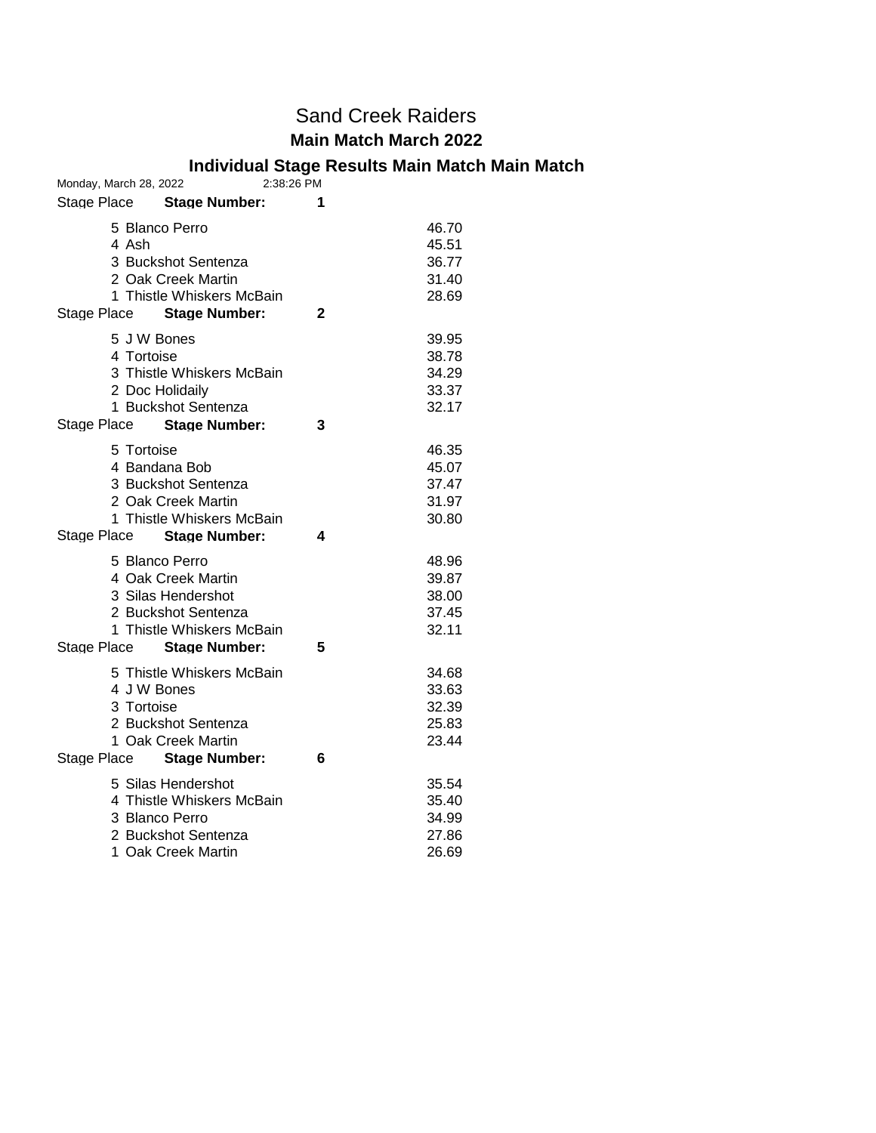#### **Individual Stage Results Main Match Main Match**

| Monday, March 28, 2022              | 2:38:26 PM |
|-------------------------------------|------------|
| Stage Place Stage Number:           | 1          |
| 5 Blanco Perro                      | 46.70      |
| 4 Ash                               | 45.51      |
| 3 Buckshot Sentenza                 | 36.77      |
| 2 Oak Creek Martin                  | 31.40      |
| 1 Thistle Whiskers McBain           | 28.69      |
| Stage Place<br><b>Stage Number:</b> | 2          |
| 5 J W Bones                         | 39.95      |
| 4 Tortoise                          | 38.78      |
| 3 Thistle Whiskers McBain           | 34.29      |
| 2 Doc Holidaily                     | 33.37      |
| 1 Buckshot Sentenza                 | 32.17      |
| Stage Place<br><b>Stage Number:</b> | 3          |
| 5 Tortoise                          | 46.35      |
| 4 Bandana Bob                       | 45.07      |
| 3 Buckshot Sentenza                 | 37.47      |
| 2 Oak Creek Martin                  | 31.97      |
| 1 Thistle Whiskers McBain           | 30.80      |
| Stage Place<br><b>Stage Number:</b> | 4          |
| 5 Blanco Perro                      | 48.96      |
| 4 Oak Creek Martin                  | 39.87      |
| 3 Silas Hendershot                  | 38.00      |
| 2 Buckshot Sentenza                 | 37.45      |
| 1 Thistle Whiskers McBain           | 32.11      |
| Stage Place Stage Number:           | 5          |
| 5 Thistle Whiskers McBain           | 34.68      |
| 4 J W Bones                         | 33.63      |
| 3 Tortoise                          | 32.39      |
| 2 Buckshot Sentenza                 | 25.83      |
| 1 Oak Creek Martin                  | 23.44      |
| Stage Place Stage Number:           | 6          |
| 5 Silas Hendershot                  | 35.54      |
| 4 Thistle Whiskers McBain           | 35.40      |
| 3 Blanco Perro                      | 34.99      |
| 2 Buckshot Sentenza                 | 27.86      |
| 1 Oak Creek Martin                  | 26.69      |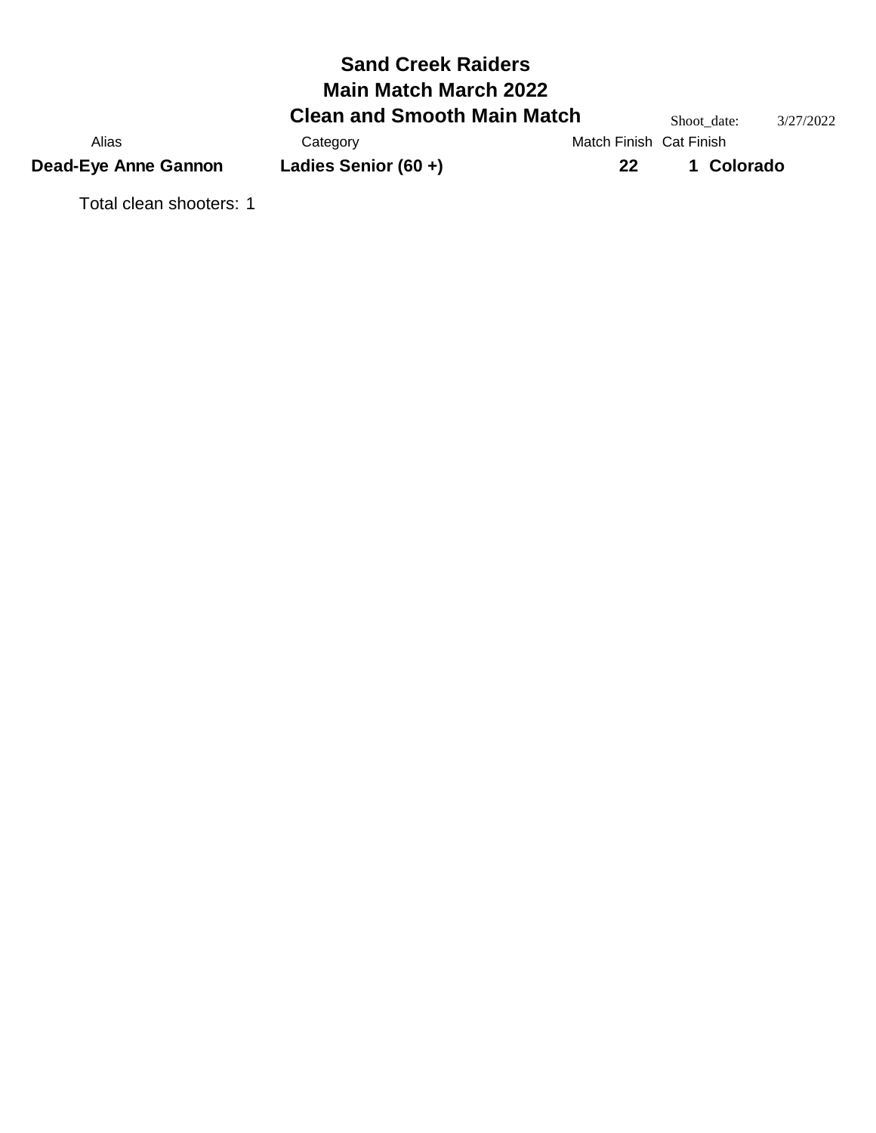## **Sand Creek Raiders Clean and Smooth Main Match** Shoot\_date: 3/27/2022<br>Category Match Finish Cat Finish **Main Match March 2022** Alias Category Category Match Finish Cat Finish **Dead-Eye Anne Gannon Ladies Senior (60 +) 22 1 Colorado**

Total clean shooters: 1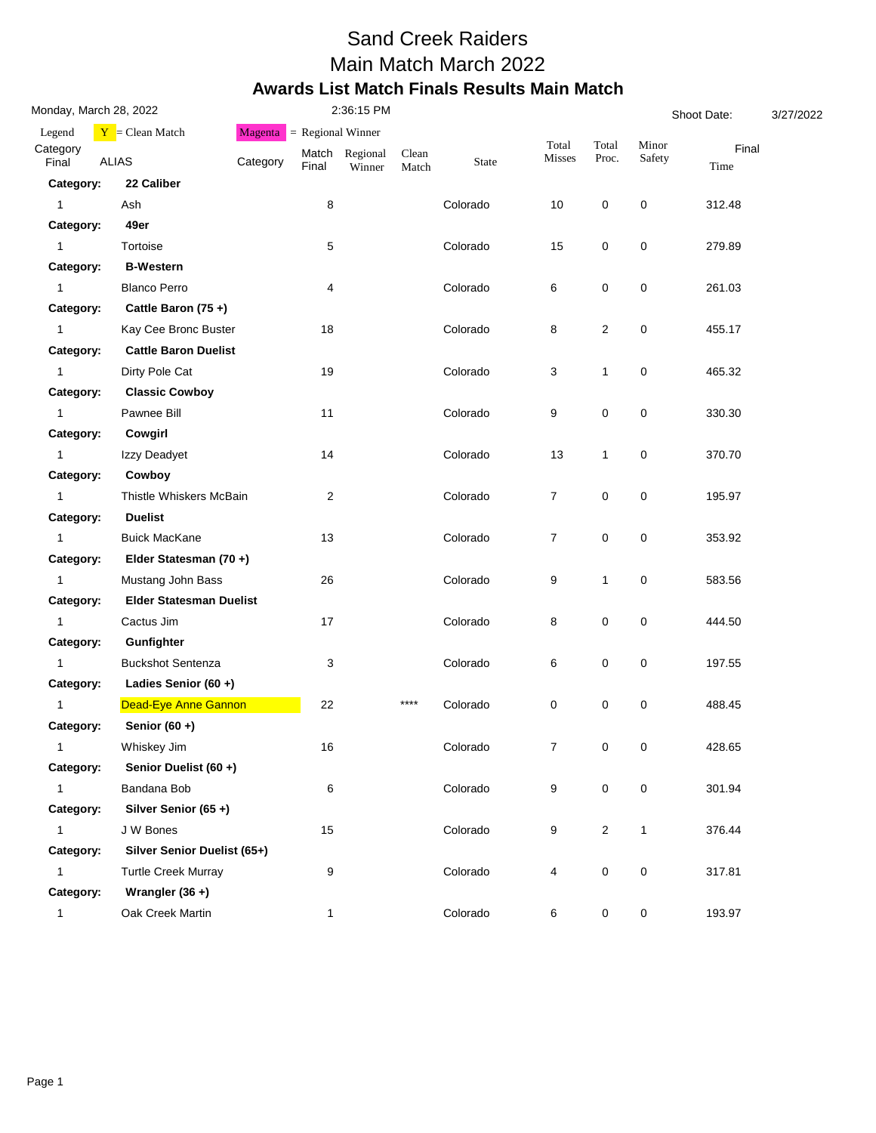#### Sand Creek Raiders Main Match March 2022 **Awards List Match Finals Results Main Match**

| Monday, March 28, 2022             |          |                                                                                                                                                                                                                                                                                                                                                                                     | 2:36:15 PM         |                              |          |                |                     | Shoot Date:  |               |  |
|------------------------------------|----------|-------------------------------------------------------------------------------------------------------------------------------------------------------------------------------------------------------------------------------------------------------------------------------------------------------------------------------------------------------------------------------------|--------------------|------------------------------|----------|----------------|---------------------|--------------|---------------|--|
| $Y = Clean Match$                  | Magenta  |                                                                                                                                                                                                                                                                                                                                                                                     |                    |                              |          |                |                     |              |               |  |
| <b>ALIAS</b>                       | Category | Final                                                                                                                                                                                                                                                                                                                                                                               | Regional<br>Winner | Clean<br>Match               | State    | Misses         | Proc.               | Safety       | Final<br>Time |  |
| 22 Caliber<br>Category:            |          |                                                                                                                                                                                                                                                                                                                                                                                     |                    |                              |          |                |                     |              |               |  |
| Ash                                |          | 8                                                                                                                                                                                                                                                                                                                                                                                   |                    |                              | Colorado | 10             | 0                   | 0            | 312.48        |  |
| Category:<br>49er                  |          |                                                                                                                                                                                                                                                                                                                                                                                     |                    |                              |          |                |                     |              |               |  |
| Tortoise                           |          | 5                                                                                                                                                                                                                                                                                                                                                                                   |                    |                              | Colorado | 15             | 0                   | 0            | 279.89        |  |
| <b>B-Western</b><br>Category:      |          |                                                                                                                                                                                                                                                                                                                                                                                     |                    |                              |          |                |                     |              |               |  |
| <b>Blanco Perro</b>                |          | 4                                                                                                                                                                                                                                                                                                                                                                                   |                    |                              | Colorado | 6              | 0                   | 0            | 261.03        |  |
| Category:                          |          |                                                                                                                                                                                                                                                                                                                                                                                     |                    |                              |          |                |                     |              |               |  |
|                                    |          | 18                                                                                                                                                                                                                                                                                                                                                                                  |                    |                              | Colorado | 8              | $\overline{2}$      | 0            | 455.17        |  |
| Category:                          |          |                                                                                                                                                                                                                                                                                                                                                                                     |                    |                              |          |                |                     |              |               |  |
| Dirty Pole Cat                     |          | 19                                                                                                                                                                                                                                                                                                                                                                                  |                    |                              | Colorado | 3              | $\mathbf{1}$        | 0            | 465.32        |  |
| <b>Classic Cowboy</b><br>Category: |          |                                                                                                                                                                                                                                                                                                                                                                                     |                    |                              |          |                |                     |              |               |  |
| Pawnee Bill                        |          | 11                                                                                                                                                                                                                                                                                                                                                                                  |                    |                              | Colorado | 9              | 0                   | 0            | 330.30        |  |
| Category:<br>Cowgirl               |          |                                                                                                                                                                                                                                                                                                                                                                                     |                    |                              |          |                |                     |              |               |  |
| Izzy Deadyet                       |          | 14                                                                                                                                                                                                                                                                                                                                                                                  |                    |                              | Colorado | 13             | $\mathbf{1}$        | 0            | 370.70        |  |
| Category:<br>Cowboy                |          |                                                                                                                                                                                                                                                                                                                                                                                     |                    |                              |          |                |                     |              |               |  |
|                                    |          | $\overline{c}$                                                                                                                                                                                                                                                                                                                                                                      |                    |                              | Colorado | 7              | 0                   | 0            | 195.97        |  |
| Category:<br><b>Duelist</b>        |          |                                                                                                                                                                                                                                                                                                                                                                                     |                    |                              |          |                |                     |              |               |  |
| <b>Buick MacKane</b>               |          | 13                                                                                                                                                                                                                                                                                                                                                                                  |                    |                              | Colorado | $\overline{7}$ | 0                   | 0            | 353.92        |  |
| Category:                          |          |                                                                                                                                                                                                                                                                                                                                                                                     |                    |                              |          |                |                     |              |               |  |
|                                    |          | 26                                                                                                                                                                                                                                                                                                                                                                                  |                    |                              | Colorado | 9              | $\mathbf{1}$        | 0            | 583.56        |  |
| Category:                          |          |                                                                                                                                                                                                                                                                                                                                                                                     |                    |                              |          |                |                     |              |               |  |
| Cactus Jim                         |          | 17                                                                                                                                                                                                                                                                                                                                                                                  |                    |                              | Colorado | 8              | $\mathsf{O}\xspace$ | 0            | 444.50        |  |
| Gunfighter<br>Category:            |          |                                                                                                                                                                                                                                                                                                                                                                                     |                    |                              |          |                |                     |              |               |  |
|                                    |          | 3                                                                                                                                                                                                                                                                                                                                                                                   |                    |                              | Colorado | 6              | $\mathsf{O}\xspace$ | 0            | 197.55        |  |
| Category:                          |          |                                                                                                                                                                                                                                                                                                                                                                                     |                    |                              |          |                |                     |              |               |  |
|                                    |          | 22                                                                                                                                                                                                                                                                                                                                                                                  |                    | $***$                        | Colorado | 0              | 0                   | 0            | 488.45        |  |
| Senior $(60 +)$<br>Category:       |          |                                                                                                                                                                                                                                                                                                                                                                                     |                    |                              |          |                |                     |              |               |  |
| Whiskey Jim                        |          | 16                                                                                                                                                                                                                                                                                                                                                                                  |                    |                              | Colorado | 7              | 0                   | 0            | 428.65        |  |
| Category:                          |          |                                                                                                                                                                                                                                                                                                                                                                                     |                    |                              |          |                |                     |              |               |  |
| Bandana Bob                        |          | 6                                                                                                                                                                                                                                                                                                                                                                                   |                    |                              | Colorado | 9              | $\pmb{0}$           | 0            | 301.94        |  |
| Category:                          |          |                                                                                                                                                                                                                                                                                                                                                                                     |                    |                              |          |                |                     |              |               |  |
| J W Bones                          |          | 15                                                                                                                                                                                                                                                                                                                                                                                  |                    |                              | Colorado | 9              | $\sqrt{2}$          | $\mathbf{1}$ | 376.44        |  |
| Category:                          |          |                                                                                                                                                                                                                                                                                                                                                                                     |                    |                              |          |                |                     |              |               |  |
|                                    |          | 9                                                                                                                                                                                                                                                                                                                                                                                   |                    |                              | Colorado | 4              | $\pmb{0}$           | 0            | 317.81        |  |
| Category:<br>Wrangler $(36 +)$     |          |                                                                                                                                                                                                                                                                                                                                                                                     |                    |                              |          |                |                     |              |               |  |
| Oak Creek Martin                   |          | $\mathbf{1}$                                                                                                                                                                                                                                                                                                                                                                        |                    |                              | Colorado | 6              | $\mathbf 0$         | 0            | 193.97        |  |
|                                    |          | Cattle Baron (75+)<br>Kay Cee Bronc Buster<br><b>Cattle Baron Duelist</b><br>Thistle Whiskers McBain<br>Elder Statesman (70+)<br>Mustang John Bass<br><b>Elder Statesman Duelist</b><br><b>Buckshot Sentenza</b><br>Ladies Senior (60+)<br><b>Dead-Eye Anne Gannon</b><br>Senior Duelist (60 +)<br>Silver Senior (65+)<br>Silver Senior Duelist (65+)<br><b>Turtle Creek Murray</b> |                    | $=$ Regional Winner<br>Match |          |                | Total               | Total        | Minor         |  |